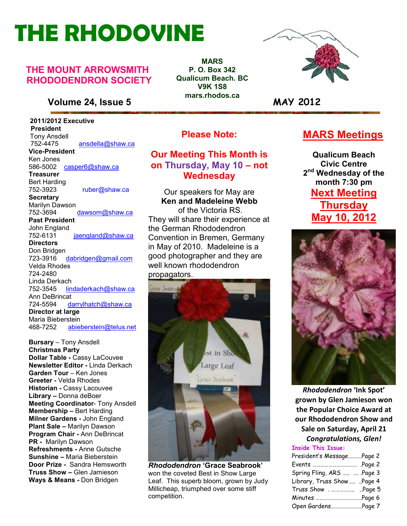# **THE RHODOVINE**

#### **THE MOUNT ARROWSMITH RHODODENDRON SOCIETY**

#### **Volume 24, Issue 5 MAY 2012**

 **2011/2012 Executive President**  Tony Ansdell<br>752-4475 752-4475 ansdella@shaw.ca **Vice-President**  Ken Jones 586-5002casper6@shaw.ca **Treasurer**  Bert Harding<br>752-3923 ruber@shaw.ca **Secretary** Marilyn Dawson 752-3694 dawsom@shaw.ca **Past President**  John England<br>752-6131 jaengland@shaw.ca **Directors**  Don Bridgen 723-3916 dabridgen@gmail.com Velda Rhodes 724-2480 Linda Derkach<br>752-3545 lin lindaderkach@shaw.ca Ann DeBrincat 724-5594 darrylhatch@shaw.ca **Director at large**  Maria Bieberstein 468-7252 abieberstein@telus.net

**Refreshments -** Anne Gutsche<br>**Sunshine –** Maria Bieberstein **Bursary** – Tony Ansdell **Christmas Party Dollar Table -** Cassy LaCouvee **Newsletter Editor -** Linda Derkach **Garden Tour** – Ken Jones **Greeter -** Velda Rhodes **Historian -** Cassy Lacouvee **Library –** Donna deBoer **Meeting Coordinator**- Tony Ansdell **Membership –** Bert Harding **Milner Gardens -** John England **Plant Sale –** Marilyn Dawson **Program Chair -** Ann DeBrincat **PR -** Marilyn Dawson **Refreshments -** Anne Gutsche **Door Prize -** Sandra Hemsworth **Truss Show –** Glen Jamieson **Ways & Means -** Don Bridgen

**MARS P. O. Box 342 Qualicum Beach. BC V9K 1S8 mars.rhodos.ca** 



### **MARS Meetings**

**Qualicum Beach Civic Centre 2 nd Wednesday of the month 7:30 pm Next Meeting Thursday May 10, 2012** 



*Rhododendron* **'Ink Spot' grown by Glen Jamieson won the Popular Choice Award at our Rhododendron Show and Sale on Saturday, April 21**  *Congratulations, Glen!* 

#### **Inside This Issue:**

| President's MessagePage 2  |  |
|----------------------------|--|
|                            |  |
| Spring Fling, ARS   Page 3 |  |
| Library, Truss Show Page 4 |  |
| Truss Show .Page 5         |  |
| Minutes Page 6             |  |
| Open GardensPage 7         |  |

**Please Note:** 

#### **Our Meeting This Month is on Thursday, May 10 – not Wednesday**

Our speakers for May are **Ken and Madeleine Webb**  of the Victoria RS. They will share their experience at the German Rhododendron Convention in Bremen, Germany in May of 2010. Madeleine is a good photographer and they are well known rhododendron propagators.



*Rhododendron* **'Grace Seabrook'** won the coveted Best in Show Large Leaf. This superb bloom, grown by Judy Millicheap, triumphed over some stiff competition.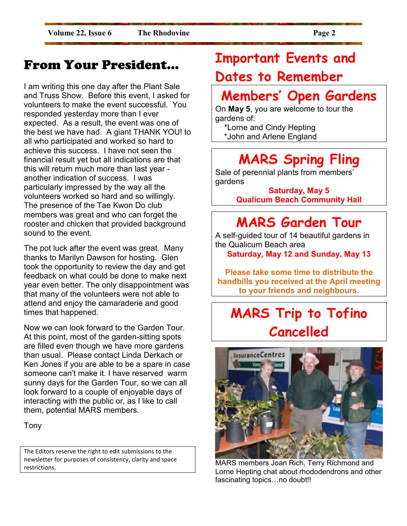### From Your President…

I am writing this one day after the Plant Sale and Truss Show. Before this event, I asked for volunteers to make the event successful. You responded yesterday more than I ever expected. As a result, the event was one of the best we have had. A giant THANK YOU! to all who participated and worked so hard to achieve this success. I have not seen the financial result yet but all indications are that this will return much more than last year another indication of success. I was particularly impressed by the way all the volunteers worked so hard and so willingly. The presence of the Tae Kwon Do club members was great and who can forget the rooster and chicken that provided background sound to the event.

The pot luck after the event was great. Many thanks to Marilyn Dawson for hosting. Glen took the opportunity to review the day and get feedback on what could be done to make next year even better. The only disappointment was that many of the volunteers were not able to attend and enjoy the camaraderie and good times that happened.

Now we can look forward to the Garden Tour. At this point, most of the garden-sitting spots are filled even though we have more gardens than usual. Please contact Linda Derkach or Ken Jones if you are able to be a spare in case someone can't make it. I have reserved warm sunny days for the Garden Tour, so we can all look forward to a couple of enjoyable days of interacting with the public or, as I like to call them, potential MARS members.

Tony

The Editors reserve the right to edit submissions to the newsletter for purposes of consistency, clarity and space restrictions.

# **Important Events and Dates to Remember**

# **Members' Open Gardens**

On **May 5**, you are welcome to tour the gardens of:

 \*Lorne and Cindy Hepting \*John and Arlene England

# **MARS Spring Fling**

Sale of perennial plants from members' gardens

> **Saturday, May 5 Qualicum Beach Community Hall**

# **MARS Garden Tour**

A self-guided tour of 14 beautiful gardens in the Qualicum Beach area **Saturday, May 12 and Sunday, May 13** 

**Please take some time to distribute the handbills you received at the April meeting to your friends and neighbours.** 

# **MARS Trip to Tofino Cancelled**



MARS members Joan Rich, Terry Richmond and Lorne Hepting chat about rhododendrons and other fascinating topics...no doubt!!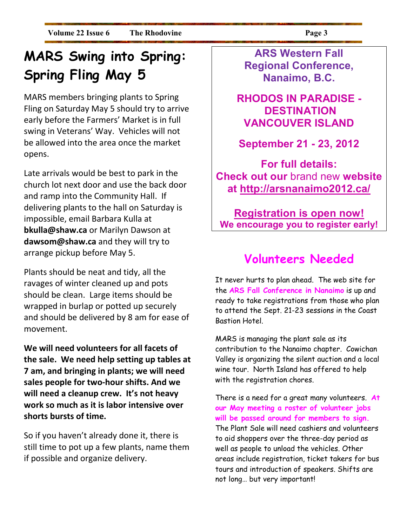# **MARS Swing into Spring: Spring Fling May 5**

MARS members bringing plants to Spring Fling on Saturday May 5 should try to arrive early before the Farmers' Market is in full swing in Veterans' Way. Vehicles will not be allowed into the area once the market opens.

Late arrivals would be best to park in the church lot next door and use the back door and ramp into the Community Hall. If delivering plants to the hall on Saturday is impossible, email Barbara Kulla at **bkulla@shaw.ca** or Marilyn Dawson at **dawsom@shaw.ca** and they will try to arrange pickup before May 5.

Plants should be neat and tidy, all the ravages of winter cleaned up and pots should be clean. Large items should be wrapped in burlap or potted up securely and should be delivered by 8 am for ease of movement.

**We will need volunteers for all facets of the sale. We need help setting up tables at 7 am, and bringing in plants; we will need sales people for two-hour shifts. And we will need a cleanup crew. It's not heavy work so much as it is labor intensive over shorts bursts of time.** 

So if you haven't already done it, there is still time to pot up a few plants, name them if possible and organize delivery.

**ARS Western Fall Regional Conference, Nanaimo, B.C.** 

### **RHODOS IN PARADISE - DESTINATION VANCOUVER ISLAND**

### **September 21 - 23, 2012**

**For full details: Check out our** brand new **website at http://arsnanaimo2012.ca/** 

### **Registration is open now! We encourage you to register early!**

### **Volunteers Needed**

It never hurts to plan ahead. The web site for the **ARS Fall Conference in Nanaimo** is up and ready to take registrations from those who plan to attend the Sept. 21-23 sessions in the Coast Bastion Hotel.

MARS is managing the plant sale as its contribution to the Nanaimo chapter. Cowichan Valley is organizing the silent auction and a local wine tour. North Island has offered to help with the registration chores.

There is a need for a great many volunteers. **At our May meeting a roster of volunteer jobs will be passed around for members to sign.**  The Plant Sale will need cashiers and volunteers to aid shoppers over the three-day period as well as people to unload the vehicles. Other areas include registration, ticket takers for bus tours and introduction of speakers. Shifts are not long… but very important!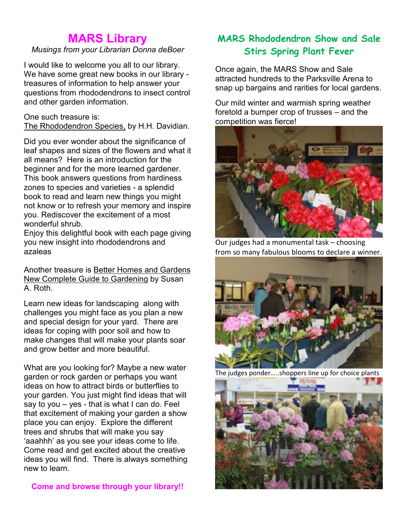### **MARS Library**

#### *Musings from your Librarian Donna deBoer*

I would like to welcome you all to our library. We have some great new books in our library treasures of information to help answer your questions from rhododendrons to insect control and other garden information.

#### One such treasure is:

The Rhododendron Species, by H.H. Davidian.

Did you ever wonder about the significance of leaf shapes and sizes of the flowers and what it all means? Here is an introduction for the beginner and for the more learned gardener. This book answers questions from hardiness zones to species and varieties - a splendid book to read and learn new things you might not know or to refresh your memory and inspire you. Rediscover the excitement of a most wonderful shrub.

Enjoy this delightful book with each page giving you new insight into rhododendrons and azaleas

Another treasure is Better Homes and Gardens New Complete Guide to Gardening by Susan A. Roth.

Learn new ideas for landscaping along with challenges you might face as you plan a new and special design for your yard. There are ideas for coping with poor soil and how to make changes that will make your plants soar and grow better and more beautiful.

What are you looking for? Maybe a new water garden or rock garden or perhaps you want ideas on how to attract birds or butterflies to your garden. You just might find ideas that will say to you – yes - that is what I can do. Feel that excitement of making your garden a show place you can enjoy. Explore the different trees and shrubs that will make you say 'aaahhh' as you see your ideas come to life. Come read and get excited about the creative ideas you will find. There is always something new to learn.

#### **Come and browse through your library!!**

### **MARS Rhododendron Show and Sale Stirs Spring Plant Fever**

Once again, the MARS Show and Sale attracted hundreds to the Parksville Arena to snap up bargains and rarities for local gardens.

Our mild winter and warmish spring weather foretold a bumper crop of trusses – and the competition was fierce!



Our judges had a monumental task – choosing from so many fabulous blooms to declare a winner.



The judges ponder…..shoppers line up for choice plants

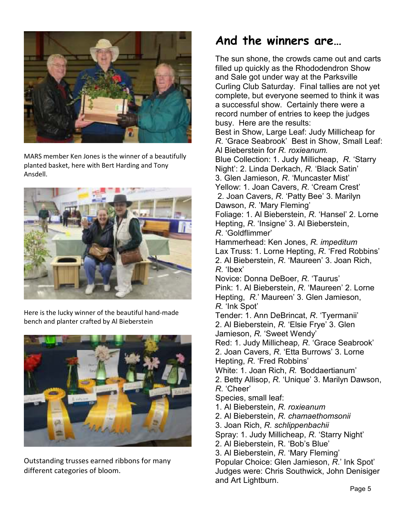

MARS member Ken Jones is the winner of a beautifully planted basket, here with Bert Harding and Tony Ansdell.



Here is the lucky winner of the beautiful hand-made bench and planter crafted by Al Bieberstein



Outstanding trusses earned ribbons for many different categories of bloom.

### **And the winners are…**

The sun shone, the crowds came out and carts filled up quickly as the Rhododendron Show and Sale got under way at the Parksville Curling Club Saturday. Final tallies are not yet complete, but everyone seemed to think it was a successful show. Certainly there were a record number of entries to keep the judges busy. Here are the results: Best in Show, Large Leaf: Judy Millicheap for *R*. 'Grace Seabrook' Best in Show, Small Leaf: Al Bieberstein for *R. roxieanum.*  Blue Collection: 1. Judy Millicheap, *R.* 'Starry Night': 2. Linda Derkach, *R.* 'Black Satin' 3. Glen Jamieson, *R*. 'Muncaster Mist' Yellow: 1. Joan Cavers, *R*. 'Cream Crest' 2. Joan Cavers, *R*. 'Patty Bee' 3. Marilyn Dawson, *R*. 'Mary Fleming' Foliage: 1. Al Bieberstein, *R*. 'Hansel' 2. Lorne Hepting, *R*. 'Insigne' 3. Al Bieberstein, *R*. 'Goldflimmer' Hammerhead: Ken Jones, *R. impeditum* Lax Truss: 1. Lorne Hepting, *R*. 'Fred Robbins' 2. Al Bieberstein, *R*. 'Maureen' 3. Joan Rich, *R*. 'Ibex' Novice: Donna DeBoer, *R*. 'Taurus' Pink: 1. Al Bieberstein, *R*. 'Maureen' 2. Lorne Hepting, *R*.' Maureen' 3. Glen Jamieson, *R.* 'Ink Spot' Tender: 1. Ann DeBrincat, *R*. 'Tyermanii' 2. Al Bieberstein, *R.* 'Elsie Frye' 3. Glen Jamieson, *R.* 'Sweet Wendy' Red: 1. Judy Millicheap*, R*. 'Grace Seabrook' 2. Joan Cavers, *R*. 'Etta Burrows' 3. Lorne Hepting, *R*. 'Fred Robbins' White: 1. Joan Rich, *R. '*Boddaertianum' 2. Betty Allisop, *R.* 'Unique' 3. Marilyn Dawson, *R*. 'Cheer' Species, small leaf: 1. Al Bieberstein, *R. roxieanum* 2. Al Bieberstein, *R. chamaethomsonii* 3. Joan Rich, *R. schlippenbachii*  Spray: 1. Judy Millicheap, *R*. 'Starry Night' 2. Al Bieberstein, R. 'Bob's Blue' 3. Al Bieberstein, *R*. 'Mary Fleming' Popular Choice: Glen Jamieson, *R*.' Ink Spot' Judges were: Chris Southwick, John Denisiger

and Art Lightburn.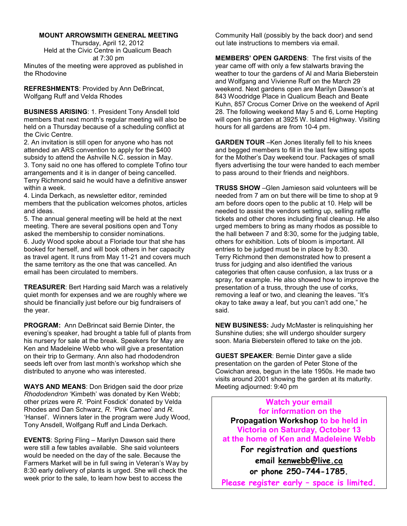#### **MOUNT ARROWSMITH GENERAL MEETING**

Thursday, April 12, 2012 Held at the Civic Centre in Qualicum Beach at 7:30 pm Minutes of the meeting were approved as published in the Rhodovine

**REFRESHMENTS**: Provided by Ann DeBrincat, Wolfgang Ruff and Velda Rhodes

**BUSINESS ARISING**: 1. President Tony Ansdell told members that next month's regular meeting will also be held on a Thursday because of a scheduling conflict at the Civic Centre.

2. An invitation is still open for anyone who has not attended an ARS convention to apply for the \$400 subsidy to attend the Ashville N.C. session in May. 3. Tony said no one has offered to complete Tofino tour arrangements and it is in danger of being cancelled. Terry Richmond said he would have a definitive answer within a week.

4. Linda Derkach, as newsletter editor, reminded members that the publication welcomes photos, articles and ideas.

5. The annual general meeting will be held at the next meeting. There are several positions open and Tony asked the membership to consider nominations. 6. Judy Wood spoke about a Floriade tour that she has booked for herself, and will book others in her capacity as travel agent. It runs from May 11-21 and covers much the same territory as the one that was cancelled. An email has been circulated to members.

**TREASURER**: Bert Harding said March was a relatively quiet month for expenses and we are roughly where we should be financially just before our big fundraisers of the year.

**PROGRAM:** Ann DeBrincat said Bernie Dinter, the evening's speaker, had brought a table full of plants from his nursery for sale at the break. Speakers for May are Ken and Madeleine Webb who will give a presentation on their trip to Germany. Ann also had rhododendron seeds left over from last month's workshop which she distributed to anyone who was interested.

**WAYS AND MEANS**: Don Bridgen said the door prize *Rhododendron* 'Kimbeth' was donated by Ken Webb; other prizes were *R*. 'Point Fosdick' donated by Velda Rhodes and Dan Schwarz, *R*. 'Pink Cameo' and *R*. 'Hansel'. Winners later in the program were Judy Wood, Tony Ansdell, Wolfgang Ruff and Linda Derkach.

**EVENTS**: Spring Fling – Marilyn Dawson said there were still a few tables available. She said volunteers would be needed on the day of the sale. Because the Farmers Market will be in full swing in Veteran's Way by 8:30 early delivery of plants is urged. She will check the week prior to the sale, to learn how best to access the

Community Hall (possibly by the back door) and send out late instructions to members via email.

**MEMBERS' OPEN GARDENS**: The first visits of the year came off with only a few stalwarts braving the weather to tour the gardens of Al and Maria Bieberstein and Wolfgang and Vivienne Ruff on the March 29 weekend. Next gardens open are Marilyn Dawson's at 843 Woodridge Place in Qualicum Beach and Beate Kuhn, 857 Crocus Corner Drive on the weekend of April 28. The following weekend May 5 and 6, Lorne Hepting will open his garden at 3925 W. Island Highway. Visiting hours for all gardens are from 10-4 pm.

**GARDEN TOUR** –Ken Jones literally fell to his knees and begged members to fill in the last few sitting spots for the Mother's Day weekend tour. Packages of small flyers advertising the tour were handed to each member to pass around to their friends and neighbors.

**TRUSS SHOW** –Glen Jamieson said volunteers will be needed from 7 am on but there will be time to shop at 9 am before doors open to the public at 10. Help will be needed to assist the vendors setting up, selling raffle tickets and other chores including final cleanup. He also urged members to bring as many rhodos as possible to the hall between 7 and 8:30, some for the judging table, others for exhibition. Lots of bloom is important. All entries to be judged must be in place by 8:30. Terry Richmond then demonstrated how to present a truss for judging and also identified the various categories that often cause confusion, a lax truss or a spray, for example. He also showed how to improve the presentation of a truss, through the use of corks, removing a leaf or two, and cleaning the leaves. "It's okay to take away a leaf, but you can't add one," he said.

**NEW BUSINESS:** Judy McMaster is relinquishing her Sunshine duties; she will undergo shoulder surgery soon. Maria Bieberstein offered to take on the job.

**GUEST SPEAKER**: Bernie Dinter gave a slide presentation on the garden of Peter Stone of the Cowichan area, begun in the late 1950s. He made two visits around 2001 showing the garden at its maturity. Meeting adjourned: 9:40 pm

**Watch your email for information on the Propagation Workshop to be held in Victoria on Saturday, October 13 at the home of Ken and Madeleine Webb For registration and questions email kenwebb@live.ca or phone 250-744-1785.** 

**Please register early – space is limited.**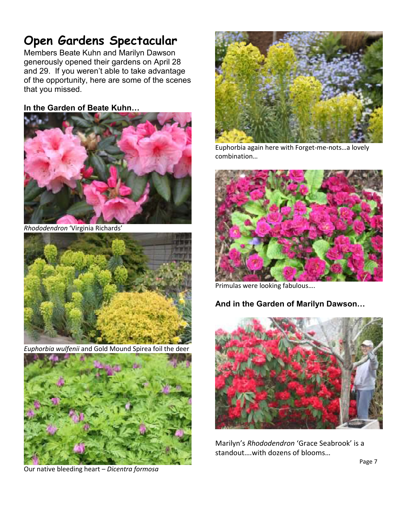## **Open Gardens Spectacular**

Members Beate Kuhn and Marilyn Dawson generously opened their gardens on April 28 and 29. If you weren't able to take advantage of the opportunity, here are some of the scenes that you missed.

#### In the Garden of Beate Kuhn...



*Rhododendron* 'Virginia Richards'



*Euphorbia wulfenii* and Gold Mound Spirea foil the deer



Our native bleeding heart – *Dicentra formosa* 



Euphorbia again here with Forget-me-nots…a lovely combination…



Primulas were looking fabulous….

#### And in the Garden of Marilyn Dawson...



Marilyn's *Rhododendron* 'Grace Seabrook' is a standout….with dozens of blooms…

Page 7